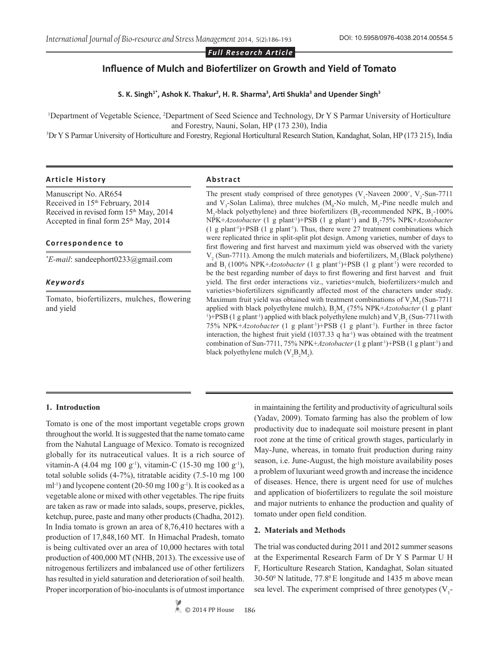*Full Research Article*

# **Influence of Mulch and Biofertilizer on Growth and Yield of Tomato**

**S. K. Singh1\*, Ashok K. Thakur<sup>2</sup> , H. R. Sharma<sup>3</sup> , Arti Shukla<sup>3</sup> and Upender Singh<sup>3</sup>**

<sup>1</sup>Department of Vegetable Science, <sup>2</sup>Department of Seed Science and Technology, Dr Y S Parmar University of Horticulture and Forestry, Nauni, Solan, HP (173 230), India

3 Dr Y S Parmar University of Horticulture and Forestry, Regional Horticultural Research Station, Kandaghat, Solan, HP (173 215), India

## **Article History Abstract**

Manuscript No. AR654 Received in 15<sup>th</sup> February, 2014 Received in revised form 15<sup>th</sup> May, 2014 Accepted in final form  $25<sup>th</sup>$  May, 2014

#### **Correspondence to**

*\* E-mail*: sandeephort0233@gmail.com

#### *Keywords*

Tomato, biofertilizers, mulches, flowering and yield

The present study comprised of three genotypes  $(V_1$ -Naveen 2000<sup>+</sup>,  $V_2$ -Sun-7711 and  $V_3$ -Solan Lalima), three mulches ( $M_0$ -No mulch,  $M_1$ -Pine needle mulch and  $M_2$ -black polyethylene) and three biofertilizers (B<sub>0</sub>-recommended NPK, B<sub>1</sub>-100% NPK+*Azotobacter* (1 g plant<sup>-1</sup>)+PSB (1 g plant<sup>-1</sup>) and B<sub>2</sub>-75% NPK+*Azotobacter*  $(1 \text{ g plant}^{-1})$ +PSB  $(1 \text{ g plant}^{-1})$ . Thus, there were 27 treatment combinations which were replicated thrice in split-split plot design. Among varieties, number of days to first flowering and first harvest and maximum yield was observed with the variety  $V_2$  (Sun-7711). Among the mulch materials and biofertilizers,  $M_2$  (Black polythene) and  $B_1$  (100% NPK+*Azotobacter* (1 g plant<sup>-1</sup>)+PSB (1 g plant<sup>-1</sup>) were recorded to be the best regarding number of days to first flowering and first harvest and fruit yield. The first order interactions viz., varieties×mulch, biofertilizers×mulch and varieties×biofertilizers significantly affected most of the characters under study. Maximum fruit yield was obtained with treatment combinations of  $V_2M_2(Sun-7711)$ applied with black polyethylene mulch),  $B_2M_2$  (75% NPK+*Azotobacter* (1 g plant <sup>1</sup>)+PSB (1 g plant<sup>-1</sup>) applied with black polyethylene mulch) and  $V_2B_2(Sun-7711$  with 75% NPK+*Azotobacter* (1 g plant-1)+PSB (1 g plant-1). Further in three factor interaction, the highest fruit yield  $(1037.33 \, \text{q ha}^{-1})$  was obtained with the treatment combination of Sun-7711, 75% NPK+*Azotobacter* (1 g plant-1)+PSB (1 g plant-1) and black polyethylene mulch  $(V_2B_2M_2)$ .

#### **1. Introduction**

Tomato is one of the most important vegetable crops grown throughout the world. It is suggested that the name tomato came from the Nahutal Language of Mexico. Tomato is recognized globally for its nutraceutical values. It is a rich source of vitamin-A (4.04 mg 100 g<sup>-1</sup>), vitamin-C (15-30 mg 100 g<sup>-1</sup>), total soluble solids (4-7%), titratable acidity (7.5-10 mg 100 ml<sup>-1</sup>) and lycopene content (20-50 mg 100 g<sup>-1</sup>). It is cooked as a vegetable alone or mixed with other vegetables. The ripe fruits are taken as raw or made into salads, soups, preserve, pickles, ketchup, puree, paste and many other products (Chadha, 2012). In India tomato is grown an area of 8,76,410 hectares with a production of 17,848,160 MT. In Himachal Pradesh, tomato is being cultivated over an area of 10,000 hectares with total production of 400,000 MT (NHB, 2013). The excessive use of nitrogenous fertilizers and imbalanced use of other fertilizers has resulted in yield saturation and deterioration of soil health. Proper incorporation of bio-inoculants is of utmost importance

in maintaining the fertility and productivity of agricultural soils (Yadav, 2009). Tomato farming has also the problem of low productivity due to inadequate soil moisture present in plant root zone at the time of critical growth stages, particularly in May-June, whereas, in tomato fruit production during rainy season, i.e. June-August, the high moisture availability poses a problem of luxuriant weed growth and increase the incidence of diseases. Hence, there is urgent need for use of mulches and application of biofertilizers to regulate the soil moisture and major nutrients to enhance the production and quality of tomato under open field condition.

#### **2. Materials and Methods**

The trial was conducted during 2011 and 2012 summer seasons at the Experimental Research Farm of Dr Y S Parmar U H F, Horticulture Research Station, Kandaghat, Solan situated 30-500 N latitude, 77.80 E longitude and 1435 m above mean sea level. The experiment comprised of three genotypes  $(V_1$ -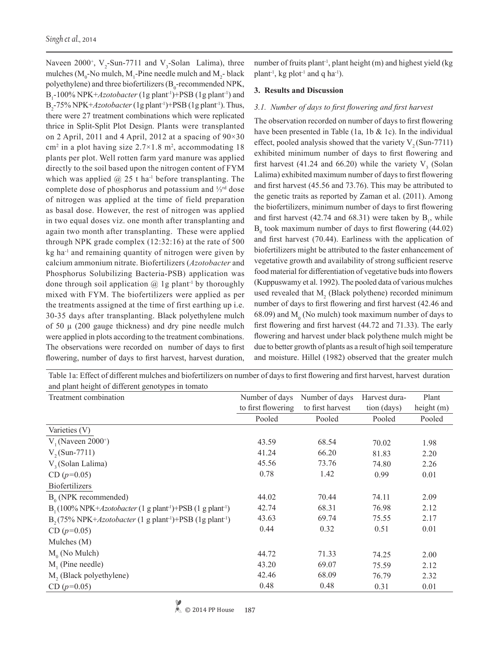Naveen 2000<sup>+</sup>,  $V_2$ -Sun-7711 and  $V_3$ -Solan Lalima), three mulches ( $M_0$ -No mulch,  $M_1$ -Pine needle mulch and  $M_2$ - black polyethylene) and three biofertilizers ( $B_0$ -recommended NPK, B<sub>1</sub>-100% NPK+*Azotobacter* (1g plant<sup>-1</sup>)+PSB (1g plant<sup>-1</sup>) and B<sub>2</sub>-75% NPK+*Azotobacter* (1g plant<sup>-1</sup>)+PSB (1g plant<sup>-1</sup>). Thus, there were 27 treatment combinations which were replicated thrice in Split-Split Plot Design. Plants were transplanted on 2 April, 2011 and 4 April, 2012 at a spacing of 90×30 cm<sup>2</sup> in a plot having size  $2.7 \times 1.8$  m<sup>2</sup>, accommodating 18 plants per plot. Well rotten farm yard manure was applied directly to the soil based upon the nitrogen content of FYM which was applied  $@$  25 t ha<sup>-1</sup> before transplanting. The complete dose of phosphorus and potassium and ⅓rd dose of nitrogen was applied at the time of field preparation as basal dose. However, the rest of nitrogen was applied in two equal doses viz. one month after transplanting and again two month after transplanting. These were applied through NPK grade complex (12:32:16) at the rate of 500 kg ha-1 and remaining quantity of nitrogen were given by calcium ammonium nitrate. Biofertilizers (*Azotobacter* and Phosphorus Solubilizing Bacteria-PSB) application was done through soil application  $\hat{\omega}$  1g plant<sup>-1</sup> by thoroughly mixed with FYM. The biofertilizers were applied as per the treatments assigned at the time of first earthing up i.e. 30-35 days after transplanting. Black polyethylene mulch of 50  $\mu$  (200 gauge thickness) and dry pine needle mulch were applied in plots according to the treatment combinations. The observations were recorded on number of days to first flowering, number of days to first harvest, harvest duration,

number of fruits plant<sup>-1</sup>, plant height (m) and highest yield (kg plant<sup>-1</sup>, kg plot<sup>-1</sup> and q ha<sup>-1</sup>).

## **3. Results and Discussion**

## *3.1. Number of days to first flowering and first harvest*

The observation recorded on number of days to first flowering have been presented in Table (1a, 1b & 1c). In the individual effect, pooled analysis showed that the variety  $V_2$  (Sun-7711) exhibited minimum number of days to first flowering and first harvest (41.24 and 66.20) while the variety  $V_3$  (Solan Lalima) exhibited maximum number of days to first flowering and first harvest (45.56 and 73.76). This may be attributed to the genetic traits as reported by Zaman et al. (2011). Among the biofertilizers, minimum number of days to first flowering and first harvest  $(42.74 \text{ and } 68.31)$  were taken by  $B_1$ , while  $B_0$  took maximum number of days to first flowering (44.02) and first harvest (70.44). Earliness with the application of biofertilizers might be attributed to the faster enhancement of vegetative growth and availability of strong sufficient reserve food material for differentiation of vegetative buds into flowers (Kuppuswamy et al. 1992). The pooled data of various mulches used revealed that  $M_2$  (Black polythene) recorded minimum number of days to first flowering and first harvest (42.46 and 68.09) and  $M_0$  (No mulch) took maximum number of days to first flowering and first harvest (44.72 and 71.33). The early flowering and harvest under black polythene mulch might be due to better growth of plants as a result of high soil temperature and moisture. Hillel (1982) observed that the greater mulch

Table 1a: Effect of different mulches and biofertilizers on number of days to first flowering and first harvest, harvest duration and plant height of different genotypes in tomato

| Treatment combination                                        | Number of days     | Number of days   | Harvest dura- | Plant        |
|--------------------------------------------------------------|--------------------|------------------|---------------|--------------|
|                                                              | to first flowering | to first harvest | tion (days)   | height $(m)$ |
|                                                              | Pooled             | Pooled           | Pooled        | Pooled       |
| Varieties (V)                                                |                    |                  |               |              |
| $V_1$ (Naveen 2000 <sup>+</sup> )                            | 43.59              | 68.54            | 70.02         | 1.98         |
| $V_2(Sun-7711)$                                              | 41.24              | 66.20            | 81.83         | 2.20         |
| $V3$ (Solan Lalima)                                          | 45.56              | 73.76            | 74.80         | 2.26         |
| CD $(p=0.05)$                                                | 0.78               | 1.42             | 0.99          | 0.01         |
| <b>Biofertilizers</b>                                        |                    |                  |               |              |
| $B_0$ (NPK recommended)                                      | 44.02              | 70.44            | 74.11         | 2.09         |
| $B_1(100\% NPK+Azotobacter (1 g plant-1)+PSB (1 g plant-1)$  | 42.74              | 68.31            | 76.98         | 2.12         |
| $B_{2}(75\% NPK+Azotobacter (1 g plant-1)+PSB (1 g plant-1)$ | 43.63              | 69.74            | 75.55         | 2.17         |
| $CD (p=0.05)$                                                | 0.44               | 0.32             | 0.51          | 0.01         |
| Mulches (M)                                                  |                    |                  |               |              |
| $M_0$ (No Mulch)                                             | 44.72              | 71.33            | 74.25         | 2.00         |
| $M1$ (Pine needle)                                           | 43.20              | 69.07            | 75.59         | 2.12         |
| M <sub>2</sub> (Black polyethylene)                          | 42.46              | 68.09            | 76.79         | 2.32         |
| CD $(p=0.05)$                                                | 0.48               | 0.48             | 0.31          | 0.01         |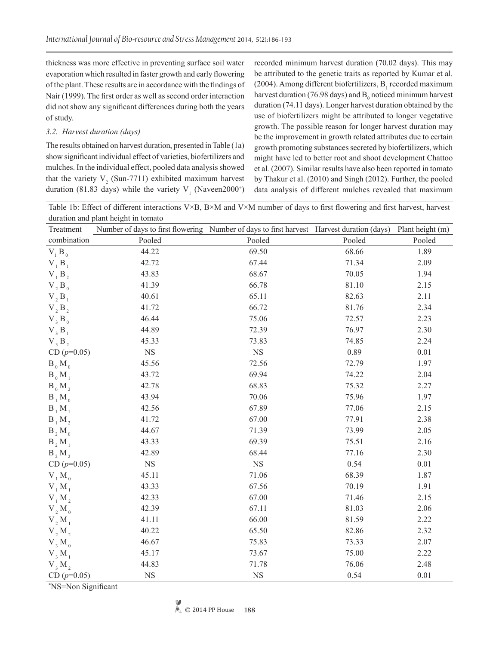thickness was more effective in preventing surface soil water evaporation which resulted in faster growth and early flowering of the plant. These results are in accordance with the findings of Nair (1999). The first order as well as second order interaction did not show any significant differences during both the years of study.

# *3.2. Harvest duration (days)*

The results obtained on harvest duration, presented in Table (1a) show significant individual effect of varieties, biofertilizers and mulches. In the individual effect, pooled data analysis showed that the variety  $V_2$  (Sun-7711) exhibited maximum harvest duration (81.83 days) while the variety  $V_1$  (Naveen2000<sup>+</sup>) recorded minimum harvest duration (70.02 days). This may be attributed to the genetic traits as reported by Kumar et al. (2004). Among different biofertilizers,  $B_1$  recorded maximum harvest duration (76.98 days) and  $B_0$  noticed minimum harvest duration (74.11 days). Longer harvest duration obtained by the use of biofertilizers might be attributed to longer vegetative growth. The possible reason for longer harvest duration may be the improvement in growth related attributes due to certain growth promoting substances secreted by biofertilizers, which might have led to better root and shoot development Chattoo et al*.* (2007). Similar results have also been reported in tomato by Thakur et al. (2010) and Singh (2012). Further, the pooled data analysis of different mulches revealed that maximum

Table 1b: Effect of different interactions V×B, B×M and V×M number of days to first flowering and first harvest, harvest duration and plant height in tomato

| Treatment              | Number of days to first flowering Number of days to first harvest Harvest duration (days) |             |        | Plant height (m) |
|------------------------|-------------------------------------------------------------------------------------------|-------------|--------|------------------|
| combination            | Pooled                                                                                    | Pooled      | Pooled | Pooled           |
| $V_1 B_0$              | 44.22                                                                                     | 69.50       | 68.66  | 1.89             |
| $V_1 B_1$              | 42.72                                                                                     | 67.44       | 71.34  | 2.09             |
| $V_1 B_2$              | 43.83                                                                                     | 68.67       | 70.05  | 1.94             |
| $V_2 B_0$              | 41.39                                                                                     | 66.78       | 81.10  | 2.15             |
| $V_2 B_1$              | 40.61                                                                                     | 65.11       | 82.63  | 2.11             |
| V, B,                  | 41.72                                                                                     | 66.72       | 81.76  | 2.34             |
| $V$ <sub>3</sub> $B_0$ | 46.44                                                                                     | 75.06       | 72.57  | 2.23             |
| $V_3 B_1$              | 44.89                                                                                     | 72.39       | 76.97  | 2.30             |
| V, B,                  | 45.33                                                                                     | 73.83       | 74.85  | 2.24             |
| $CD (p=0.05)$          | $_{\rm NS}$                                                                               | $_{\rm NS}$ | 0.89   | 0.01             |
| $B_0 M_0$              | 45.56                                                                                     | 72.56       | 72.79  | 1.97             |
| $B_0 M_1$              | 43.72                                                                                     | 69.94       | 74.22  | 2.04             |
| $B_0 M_2$              | 42.78                                                                                     | 68.83       | 75.32  | 2.27             |
| $B_1 M_0$              | 43.94                                                                                     | 70.06       | 75.96  | 1.97             |
| $B_1 M_1$              | 42.56                                                                                     | 67.89       | 77.06  | 2.15             |
| $B_1 M_2$              | 41.72                                                                                     | 67.00       | 77.91  | 2.38             |
| $B_2 M_0$              | 44.67                                                                                     | 71.39       | 73.99  | 2.05             |
| $B_2 M_1$              | 43.33                                                                                     | 69.39       | 75.51  | 2.16             |
| B, M,                  | 42.89                                                                                     | 68.44       | 77.16  | 2.30             |
| $CD (p=0.05)$          | $_{\rm NS}$                                                                               | <b>NS</b>   | 0.54   | 0.01             |
| $V_1 M_0$              | 45.11                                                                                     | 71.06       | 68.39  | 1.87             |
| $V_1 M_1$              | 43.33                                                                                     | 67.56       | 70.19  | 1.91             |
| $V_1 M_2$              | 42.33                                                                                     | 67.00       | 71.46  | 2.15             |
| $V, M_0$               | 42.39                                                                                     | 67.11       | 81.03  | 2.06             |
| $V, M_1$               | 41.11                                                                                     | 66.00       | 81.59  | 2.22             |
| V, M,                  | 40.22                                                                                     | 65.50       | 82.86  | 2.32             |
| $V_3 M_0$              | 46.67                                                                                     | 75.83       | 73.33  | 2.07             |
| $V_3 M_1$              | 45.17                                                                                     | 73.67       | 75.00  | 2.22             |
| V, M,                  | 44.83                                                                                     | 71.78       | 76.06  | 2.48             |
| $CD (p=0.05)$          | $_{\rm NS}$                                                                               | NS          | 0.54   | 0.01             |

\* NS=Non Significant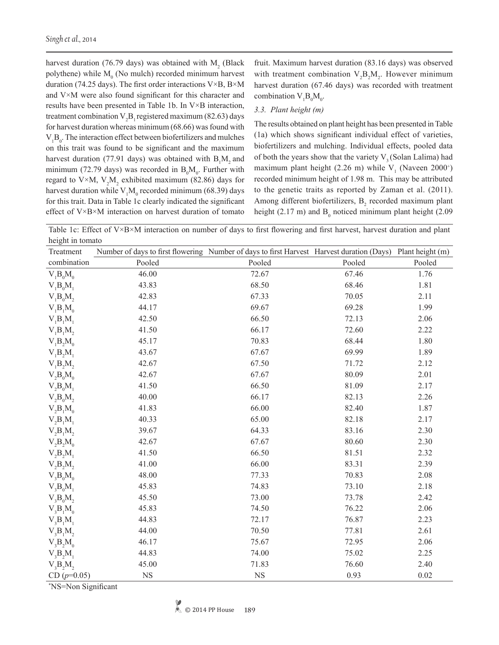harvest duration (76.79 days) was obtained with  $M_2$  (Black polythene) while  $M_0$  (No mulch) recorded minimum harvest duration (74.25 days). The first order interactions V×B, B×M and V×M were also found significant for this character and results have been presented in Table 1b. In V×B interaction, treatment combination  $V_2B_1$  registered maximum (82.63) days for harvest duration whereas minimum (68.66) was found with  $V_1B_0$ . The interaction effect between biofertilizers and mulches on this trait was found to be significant and the maximum harvest duration (77.91 days) was obtained with  $B_1M_2$  and minimum (72.79 days) was recorded in  $B_0M_0$ . Further with regard to V×M,  $V_2M_2$  exhibited maximum (82.86) days for harvest duration while  $V_1M_0$  recorded minimum (68.39) days for this trait. Data in Table 1c clearly indicated the significant effect of V×B×M interaction on harvest duration of tomato

fruit. Maximum harvest duration (83.16 days) was observed with treatment combination  $V_2B_2M_2$ . However minimum harvest duration (67.46 days) was recorded with treatment combination  $V_1B_0M_0$ .

## *3.3. Plant height (m)*

The results obtained on plant height has been presented in Table (1a) which shows significant individual effect of varieties, biofertilizers and mulching. Individual effects, pooled data of both the years show that the variety  $V_3$  (Solan Lalima) had maximum plant height  $(2.26 \text{ m})$  while  $V_1$  (Naveen 2000<sup>+</sup>) recorded minimum height of 1.98 m. This may be attributed to the genetic traits as reported by Zaman et al. (2011). Among different biofertilizers,  $B_2$  recorded maximum plant height (2.17 m) and  $B_0$  noticed minimum plant height (2.09

Table 1c: Effect of  $V \times B \times M$  interaction on number of days to first flowering and first harvest, harvest duration and plant height in tomato

| Treatment         | Number of days to first flowering Number of days to first Harvest Harvest duration (Days) Plant height (m) |           |        |        |
|-------------------|------------------------------------------------------------------------------------------------------------|-----------|--------|--------|
| combination       | Pooled                                                                                                     | Pooled    | Pooled | Pooled |
| $V_1B_0M_0$       | 46.00                                                                                                      | 72.67     | 67.46  | 1.76   |
| $V_1B_0M_1$       | 43.83                                                                                                      | 68.50     | 68.46  | 1.81   |
| $V_1B_0M_2$       | 42.83                                                                                                      | 67.33     | 70.05  | 2.11   |
| $V_1B_1M_0$       | 44.17                                                                                                      | 69.67     | 69.28  | 1.99   |
| $V_1B_1M_1$       | 42.50                                                                                                      | 66.50     | 72.13  | 2.06   |
| $V_1B_1M_2$       | 41.50                                                                                                      | 66.17     | 72.60  | 2.22   |
| $V_1B_2M_0$       | 45.17                                                                                                      | 70.83     | 68.44  | 1.80   |
| $V_1B_2M_1$       | 43.67                                                                                                      | 67.67     | 69.99  | 1.89   |
| $V_1B_2M_2$       | 42.67                                                                                                      | 67.50     | 71.72  | 2.12   |
| $V_2B_0M_0$       | 42.67                                                                                                      | 67.67     | 80.09  | 2.01   |
| $V_2B_0M_1$       | 41.50                                                                                                      | 66.50     | 81.09  | 2.17   |
| $V_2B_0M_2$       | 40.00                                                                                                      | 66.17     | 82.13  | 2.26   |
| $V_2B_1M_0$       | 41.83                                                                                                      | 66.00     | 82.40  | 1.87   |
| $V_2B_1M_1$       | 40.33                                                                                                      | 65.00     | 82.18  | 2.17   |
| $V_2B_1M_2$       | 39.67                                                                                                      | 64.33     | 83.16  | 2.30   |
| $V_2B_2M_0$       | 42.67                                                                                                      | 67.67     | 80.60  | 2.30   |
| $V_2B_2M_1$       | 41.50                                                                                                      | 66.50     | 81.51  | 2.32   |
| $V_2B_2M_2$       | 41.00                                                                                                      | 66.00     | 83.31  | 2.39   |
| $V_{3}B_{0}M_{0}$ | 48.00                                                                                                      | 77.33     | 70.83  | 2.08   |
| $V_{3}B_{0}M_{1}$ | 45.83                                                                                                      | 74.83     | 73.10  | 2.18   |
| $V_3B_0M_2$       | 45.50                                                                                                      | 73.00     | 73.78  | 2.42   |
| $V_3B_1M_0$       | 45.83                                                                                                      | 74.50     | 76.22  | 2.06   |
| $V_3B_1M_1$       | 44.83                                                                                                      | 72.17     | 76.87  | 2.23   |
| $V_{3}B_{1}M_{2}$ | 44.00                                                                                                      | 70.50     | 77.81  | 2.61   |
| $V_3B_2M_0$       | 46.17                                                                                                      | 75.67     | 72.95  | 2.06   |
| $V_3B_2M_1$       | 44.83                                                                                                      | 74.00     | 75.02  | 2.25   |
| $V_3B_2M_2$       | 45.00                                                                                                      | 71.83     | 76.60  | 2.40   |
| CD $(p=0.05)$     | <b>NS</b>                                                                                                  | <b>NS</b> | 0.93   | 0.02   |

\* NS=Non Significant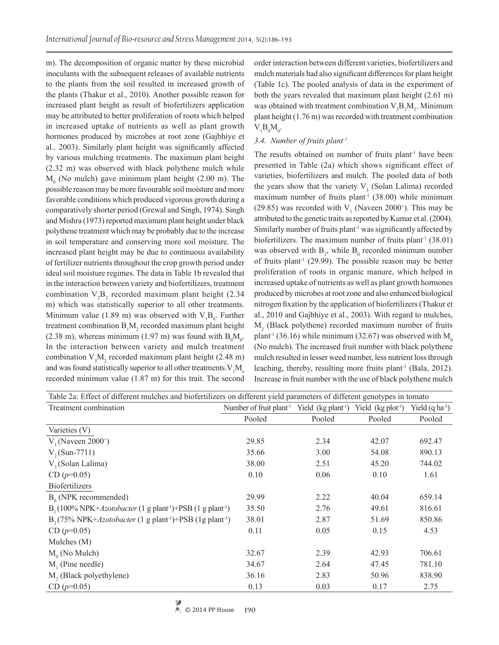m). The decomposition of organic matter by these microbial inoculants with the subsequent releases of available nutrients to the plants from the soil resulted in increased growth of the plants (Thakur et al., 2010). Another possible reason for increased plant height as result of biofertilizers application may be attributed to better proliferation of roots which helped in increased uptake of nutrients as well as plant growth hormones produced by microbes at root zone (Gajbhiye et al*.,* 2003). Similarly plant height was significantly affected by various mulching treatments. The maximum plant height (2.32 m) was observed with black polythene mulch while  $M_0$  (No mulch) gave minimum plant height (2.00 m). The possible reason may be more favourable soil moisture and more favorable conditions which produced vigorous growth during a comparatively shorter period (Grewal and Singh, 1974). Singh and Mishra (1973) reported maximum plant height under black polythene treatment which may be probably due to the increase in soil temperature and conserving more soil moisture. The increased plant height may be due to continuous availability of fertilizer nutrients throughout the crop growth period under ideal soil moisture regimes. The data in Table 1b revealed that in the interaction between variety and biofertilizers, treatment combination  $V_2B_2$  recorded maximum plant height (2.34) m) which was statistically superior to all other treatments. Minimum value (1.89 m) was observed with  $V_1B_0$ . Further treatment combination  $B_1M_2$  recorded maximum plant height (2.38 m), whereas minimum (1.97 m) was found with  $B_0M_0$ . In the interaction between variety and mulch treatment combination  $V_3M_2$  recorded maximum plant height (2.48 m) and was found statistically superior to all other treatments.  $V_1M_0$ recorded minimum value (1.87 m) for this trait. The second

order interaction between different varieties, biofertilizers and mulch materials had also significant differences for plant height (Table 1c). The pooled analysis of data in the experiment of both the years revealed that maximum plant height (2.61 m) was obtained with treatment combination  $V_3B_1M_2$ . Minimum plant height (1.76 m) was recorded with treatment combination  $V_1B_0M_0.$ 

## *3.4. Number of fruits plant-1*

The results obtained on number of fruits plant<sup>-1</sup> have been presented in Table (2a) which shows significant effect of varieties, biofertilizers and mulch. The pooled data of both the years show that the variety  $V_3$  (Solan Lalima) recorded maximum number of fruits plant<sup>-1</sup> (38.00) while minimum (29.85) was recorded with  $V_1$  (Naveen 2000<sup>+</sup>). This may be attributed to the genetic traits as reported by Kumar et al. (2004). Similarly number of fruits plant<sup>-1</sup> was significantly affected by biofertilizers. The maximum number of fruits plant<sup>1</sup> (38.01) was observed with  $B_2$ , while  $B_0$  recorded minimum number of fruits plant<sup>-1</sup> (29.99). The possible reason may be better proliferation of roots in organic manure, which helped in increased uptake of nutrients as well as plant growth hormones produced by microbes at root zone and also enhanced biological nitrogen fixation by the application of biofertilizers (Thakur et al., 2010 and Gajbhiye et al., 2003). With regard to mulches,  $M<sub>2</sub>$  (Black polythene) recorded maximum number of fruits plant<sup>-1</sup> (36.16) while minimum (32.67) was observed with  $M_0$ (No mulch). The increased fruit number with black polythene mulch resulted in lesser weed number, less nutrient loss through leaching, thereby, resulting more fruits plant<sup>-1</sup> (Bala, 2012). Increase in fruit number with the use of black polythene mulch

| Table 2a: Effect of different mulches and biofertilizers on different yield parameters of different genotypes in tomato |                                                                                                    |        |        |                        |  |
|-------------------------------------------------------------------------------------------------------------------------|----------------------------------------------------------------------------------------------------|--------|--------|------------------------|--|
| Treatment combination                                                                                                   | Number of fruit plant <sup>-1</sup> Yield (kg plant <sup>-1</sup> ) Yield (kg plot <sup>-1</sup> ) |        |        | Yield $(q \, ha^{-1})$ |  |
|                                                                                                                         | Pooled                                                                                             | Pooled | Pooled | Pooled                 |  |
| Varieties (V)                                                                                                           |                                                                                                    |        |        |                        |  |
| $V_1$ (Naveen 2000 <sup>+</sup> )                                                                                       | 29.85                                                                                              | 2.34   | 42.07  | 692.47                 |  |
| $V_2(Sun-7711)$                                                                                                         | 35.66                                                                                              | 3.00   | 54.08  | 890.13                 |  |
| $V3$ (Solan Lalima)                                                                                                     | 38.00                                                                                              | 2.51   | 45.20  | 744.02                 |  |
| $CD (p=0.05)$                                                                                                           | 0.10                                                                                               | 0.06   | 0.10   | 1.61                   |  |
| <b>Biofertilizers</b>                                                                                                   |                                                                                                    |        |        |                        |  |
| $B_0$ (NPK recommended)                                                                                                 | 29.99                                                                                              | 2.22   | 40.04  | 659.14                 |  |
| $B_1(100\% NPK+Azotobacter (1 g plant+) + PSB (1 g plant+)$                                                             | 35.50                                                                                              | 2.76   | 49.61  | 816.61                 |  |
| $B_{2}(75\% NPK+Azotobacter (1 g plant-1)+PSB (1 g plant-1)$                                                            | 38.01                                                                                              | 2.87   | 51.69  | 850.86                 |  |
| $CD (p=0.05)$                                                                                                           | 0.11                                                                                               | 0.05   | 0.15   | 4.53                   |  |
| Mulches (M)                                                                                                             |                                                                                                    |        |        |                        |  |
| $M_0$ (No Mulch)                                                                                                        | 32.67                                                                                              | 2.39   | 42.93  | 706.61                 |  |
| $M1$ (Pine needle)                                                                                                      | 34.67                                                                                              | 2.64   | 47.45  | 781.10                 |  |
| M <sub>2</sub> (Black polyethylene)                                                                                     | 36.16                                                                                              | 2.83   | 50.96  | 838.90                 |  |
| $CD (p=0.05)$                                                                                                           | 0.13                                                                                               | 0.03   | 0.17   | 2.75                   |  |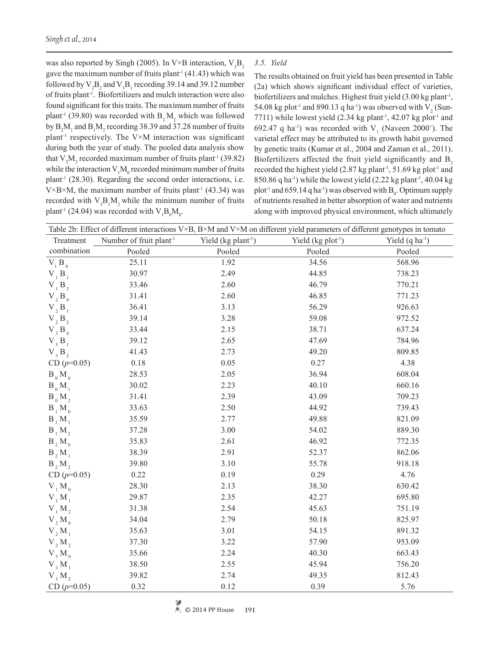was also reported by Singh (2005). In V×B interaction,  $V_3B_2$ gave the maximum number of fruits plant<sup>-1</sup> (41.43) which was followed by  $V_2B_2$  and  $V_3B_1$  recording 39.14 and 39.12 number of fruits plant-1. Biofertilizers and mulch interaction were also found significant for this traits. The maximum number of fruits plant<sup>-1</sup> (39.80) was recorded with  $B_2M_2$  which was followed by  $B_2M_1$  and  $B_1M_2$  recording 38.39 and 37.28 number of fruits plant<sup>-1</sup> respectively. The V $\times$ M interaction was significant during both the year of study. The pooled data analysis show that  $V_3M_2$  recorded maximum number of fruits plant<sup>-1</sup> (39.82) while the interaction  $V_1M_0$  recorded minimum number of fruits plant<sup>-1</sup> (28.30). Regarding the second order interactions, i.e.  $V \times B \times M$ , the maximum number of fruits plant<sup>-1</sup> (43.34) was recorded with  $V_3B_1M_2$  while the minimum number of fruits plant<sup>-1</sup> (24.04) was recorded with  $V_1 B_0 M_0$ .

*3.5. Yield* 

The results obtained on fruit yield has been presented in Table (2a) which shows significant individual effect of varieties, biofertilizers and mulches. Highest fruit yield (3.00 kg plant<sup>-1</sup>, 54.08 kg plot<sup>-1</sup> and 890.13 q ha<sup>-1</sup>) was observed with  $V_2$  (Sun-7711) while lowest yield (2.34 kg plant<sup>-1</sup>, 42.07 kg plot<sup>-1</sup> and 692.47 q ha<sup>-1</sup>) was recorded with  $V_1$  (Naveen 2000<sup>+</sup>). The varietal effect may be attributed to its growth habit governed by genetic traits (Kumar et al., 2004 and Zaman et al., 2011). Biofertilizers affected the fruit yield significantly and  $B$ <sub>2</sub> recorded the highest yield  $(2.87 \text{ kg plant}^{-1}, 51.69 \text{ kg plot}^{-1})$  and 850.86 q ha<sup>-1</sup>) while the lowest yield  $(2.22 \text{ kg plant}^{\text{-1}}, 40.04 \text{ kg})$ plot<sup>-1</sup> and 659.14 q ha<sup>-1</sup>) was observed with  $B_0$ . Optimum supply of nutrients resulted in better absorption of water and nutrients along with improved physical environment, which ultimately

| Table 2b: Effect of different interactions V×B, B×M and V×M on different yield parameters of different genotypes in tomato |                                     |                                 |                     |                             |  |
|----------------------------------------------------------------------------------------------------------------------------|-------------------------------------|---------------------------------|---------------------|-----------------------------|--|
| Treatment                                                                                                                  | Number of fruit plant <sup>-1</sup> | Yield (kg plant <sup>-1</sup> ) | Yield $(kg plot-1)$ | Yield (q ha <sup>-1</sup> ) |  |
| combination                                                                                                                | Pooled                              | Pooled                          | Pooled              | Pooled                      |  |
| $V_1 B_0$                                                                                                                  | 25.11                               | 1.92                            | 34.56               | 568.96                      |  |
| V <sub>1</sub> B <sub>1</sub>                                                                                              | 30.97                               | 2.49                            | 44.85               | 738.23                      |  |
| $V$ <sub>1</sub> $B$ <sub>2</sub>                                                                                          | 33.46                               | 2.60                            | 46.79               | 770.21                      |  |
| $V_2B_0$                                                                                                                   | 31.41                               | 2.60                            | 46.85               | 771.23                      |  |
| $V, B_1$                                                                                                                   | 36.41                               | 3.13                            | 56.29               | 926.63                      |  |
| $V_2B_2$                                                                                                                   | 39.14                               | 3.28                            | 59.08               | 972.52                      |  |
| $V_3B_0$                                                                                                                   | 33.44                               | 2.15                            | 38.71               | 637.24                      |  |
| $V_3 B_1$                                                                                                                  | 39.12                               | 2.65                            | 47.69               | 784.96                      |  |
| V, B,                                                                                                                      | 41.43                               | 2.73                            | 49.20               | 809.85                      |  |
| $CD (p=0.05)$                                                                                                              | 0.18                                | 0.05                            | 0.27                | 4.38                        |  |
| $B_0 M_0$                                                                                                                  | 28.53                               | 2.05                            | 36.94               | 608.04                      |  |
| $B_0 M_1$                                                                                                                  | 30.02                               | 2.23                            | 40.10               | 660.16                      |  |
| $B_0 M_2$                                                                                                                  | 31.41                               | 2.39                            | 43.09               | 709.23                      |  |
| $B_1 M_0$                                                                                                                  | 33.63                               | 2.50                            | 44.92               | 739.43                      |  |
| $B_1 M_1$                                                                                                                  | 35.59                               | 2.77                            | 49.88               | 821.09                      |  |
| $B_1 M_2$                                                                                                                  | 37.28                               | 3.00                            | 54.02               | 889.30                      |  |
| $B_2 M_0$                                                                                                                  | 35.83                               | 2.61                            | 46.92               | 772.35                      |  |
| $B, M_1$                                                                                                                   | 38.39                               | 2.91                            | 52.37               | 862.06                      |  |
| B, M,                                                                                                                      | 39.80                               | 3.10                            | 55.78               | 918.18                      |  |
| $CD (p=0.05)$                                                                                                              | 0.22                                | 0.19                            | 0.29                | 4.76                        |  |
| $V_1 M_0$                                                                                                                  | 28.30                               | 2.13                            | 38.30               | 630.42                      |  |
| $V_1 M_1$                                                                                                                  | 29.87                               | 2.35                            | 42.27               | 695.80                      |  |
| $V_1 M_2$                                                                                                                  | 31.38                               | 2.54                            | 45.63               | 751.19                      |  |
| $V_2M_0$                                                                                                                   | 34.04                               | 2.79                            | 50.18               | 825.97                      |  |
| $V, M_1$                                                                                                                   | 35.63                               | 3.01                            | 54.15               | 891.32                      |  |
| V, M,                                                                                                                      | 37.30                               | 3.22                            | 57.90               | 953.09                      |  |
| $V, M_0$                                                                                                                   | 35.66                               | 2.24                            | 40.30               | 663.43                      |  |
| $V_3 M_1$                                                                                                                  | 38.50                               | 2.55                            | 45.94               | 756.20                      |  |
| V, M,                                                                                                                      | 39.82                               | 2.74                            | 49.35               | 812.43                      |  |
| CD $(p=0.05)$                                                                                                              | 0.32                                | 0.12                            | 0.39                | 5.76                        |  |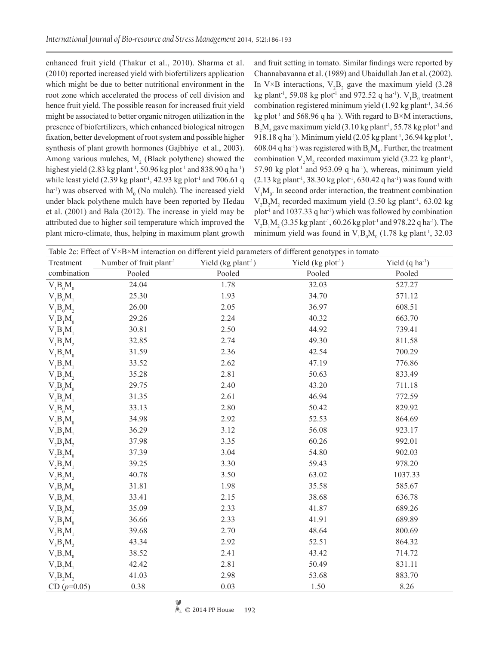enhanced fruit yield (Thakur et al., 2010). Sharma et al. (2010) reported increased yield with biofertilizers application which might be due to better nutritional environment in the root zone which accelerated the process of cell division and hence fruit yield. The possible reason for increased fruit yield might be associated to better organic nitrogen utilization in the presence of biofertilizers, which enhanced biological nitrogen fixation, better development of root system and possible higher synthesis of plant growth hormones (Gajbhiye et al., 2003). Among various mulches,  $M<sub>2</sub>$  (Black polythene) showed the highest yield (2.83 kg plant<sup>-1</sup>, 50.96 kg plot<sup>-1</sup> and 838.90 q ha<sup>-1</sup>) while least yield  $(2.39 \text{ kg plant}^1, 42.93 \text{ kg plot}^1 \text{ and } 706.61 \text{ q}$  $ha^{-1}$ ) was observed with  $M_0$  (No mulch). The increased yield under black polythene mulch have been reported by Hedau et al. (2001) and Bala (2012). The increase in yield may be attributed due to higher soil temperature which improved the plant micro-climate, thus, helping in maximum plant growth

and fruit setting in tomato. Similar findings were reported by Channabavanna et al. (1989) and Ubaidullah Jan et al. (2002). In V×B interactions,  $V_2B_2$  gave the maximum yield (3.28) kg plant<sup>-1</sup>, 59.08 kg plot<sup>-1</sup> and 972.52 q ha<sup>-1</sup>).  $V_1B_0$  treatment combination registered minimum yield (1.92 kg plant<sup>-1</sup>, 34.56) kg plot<sup>-1</sup> and 568.96 q ha<sup>-1</sup>). With regard to  $B \times M$  interactions,  $B_2M_2$  gave maximum yield (3.10 kg plant<sup>-1</sup>, 55.78 kg plot<sup>-1</sup> and 918.18 q ha<sup>-1</sup>). Minimum yield  $(2.05 \text{ kg plant}^{-1}, 36.94 \text{ kg plot}^{-1},$ 608.04 q ha<sup>-1</sup>) was registered with  $B_0M_0$ . Further, the treatment combination  $V_2M_2$  recorded maximum yield (3.22 kg plant<sup>-1</sup>, 57.90 kg plot<sup>-1</sup> and 953.09 q ha<sup>-1</sup>), whereas, minimum yield  $(2.13 \text{ kg plant}^1, 38.30 \text{ kg plot}^1, 630.42 \text{ q ha}^1)$  was found with  $V_1M_0$ . In second order interaction, the treatment combination  $V_2B_2M_2$  recorded maximum yield (3.50 kg plant<sup>-1</sup>, 63.02 kg  $plot<sup>-1</sup>$  and 1037.33 q ha<sup>-1</sup>) which was followed by combination  $V_2B_1M_2$  (3.35 kg plant<sup>-1</sup>, 60.26 kg plot<sup>-1</sup> and 978.22 q ha<sup>-1</sup>). The minimum yield was found in  $V_1 B_0 M_0$  (1.78 kg plant<sup>-1</sup>, 32.03

| Table 2c: Effect of V×B×M interaction on different yield parameters of different genotypes in tomato |                                     |                                   |                     |                             |
|------------------------------------------------------------------------------------------------------|-------------------------------------|-----------------------------------|---------------------|-----------------------------|
| Treatment                                                                                            | Number of fruit plant <sup>-1</sup> | Yield $(kg$ plant <sup>-1</sup> ) | Yield $(kg plot-1)$ | Yield $(q \text{ ha}^{-1})$ |
| combination                                                                                          | Pooled                              | Pooled                            | Pooled              | Pooled                      |
| $V_1B_0M_0$                                                                                          | 24.04                               | 1.78                              | 32.03               | 527.27                      |
| $V_1B_0M_1$                                                                                          | 25.30                               | 1.93                              | 34.70               | 571.12                      |
| $V_1B_0M_2$                                                                                          | 26.00                               | 2.05                              | 36.97               | 608.51                      |
| $V_1B_1M_0$                                                                                          | 29.26                               | 2.24                              | 40.32               | 663.70                      |
| $V_1B_1M_1$                                                                                          | 30.81                               | 2.50                              | 44.92               | 739.41                      |
| $V_1B_1M_2$                                                                                          | 32.85                               | 2.74                              | 49.30               | 811.58                      |
| $V_1B_2M_0$                                                                                          | 31.59                               | 2.36                              | 42.54               | 700.29                      |
| $V_1B_2M_1$                                                                                          | 33.52                               | 2.62                              | 47.19               | 776.86                      |
| $V_1B_2M_2$                                                                                          | 35.28                               | 2.81                              | 50.63               | 833.49                      |
| $V_2B_0M_0$                                                                                          | 29.75                               | 2.40                              | 43.20               | 711.18                      |
| $V_2B_0M_1$                                                                                          | 31.35                               | 2.61                              | 46.94               | 772.59                      |
| $V_2B_0M_2$                                                                                          | 33.13                               | 2.80                              | 50.42               | 829.92                      |
| $V_2B_1M_0$                                                                                          | 34.98                               | 2.92                              | 52.53               | 864.69                      |
| $V_2B_1M_1$                                                                                          | 36.29                               | 3.12                              | 56.08               | 923.17                      |
| $V_2B_1M_2$                                                                                          | 37.98                               | 3.35                              | 60.26               | 992.01                      |
| $V_2B_2M_0$                                                                                          | 37.39                               | 3.04                              | 54.80               | 902.03                      |
| $V_2B_2M_1$                                                                                          | 39.25                               | 3.30                              | 59.43               | 978.20                      |
| $V_2B_2M_2$                                                                                          | 40.78                               | 3.50                              | 63.02               | 1037.33                     |
| $V_{3}B_{0}M_{0}$                                                                                    | 31.81                               | 1.98                              | 35.58               | 585.67                      |
| $V_3B_0M_1$                                                                                          | 33.41                               | 2.15                              | 38.68               | 636.78                      |
| $V_{3}B_{0}M_{2}$                                                                                    | 35.09                               | 2.33                              | 41.87               | 689.26                      |
| $V_{3}B_{1}M_{0}$                                                                                    | 36.66                               | 2.33                              | 41.91               | 689.89                      |
| $V_3B_1M_1$                                                                                          | 39.68                               | 2.70                              | 48.64               | 800.69                      |
| $V_{3}B_{1}M_{2}$                                                                                    | 43.34                               | 2.92                              | 52.51               | 864.32                      |
| $V_3B_2M_0$                                                                                          | 38.52                               | 2.41                              | 43.42               | 714.72                      |
| $V_3B_2M_1$                                                                                          | 42.42                               | 2.81                              | 50.49               | 831.11                      |
| $V_3B_2M_2$                                                                                          | 41.03                               | 2.98                              | 53.68               | 883.70                      |
| CD $(p=0.05)$                                                                                        | 0.38                                | 0.03                              | 1.50                | 8.26                        |